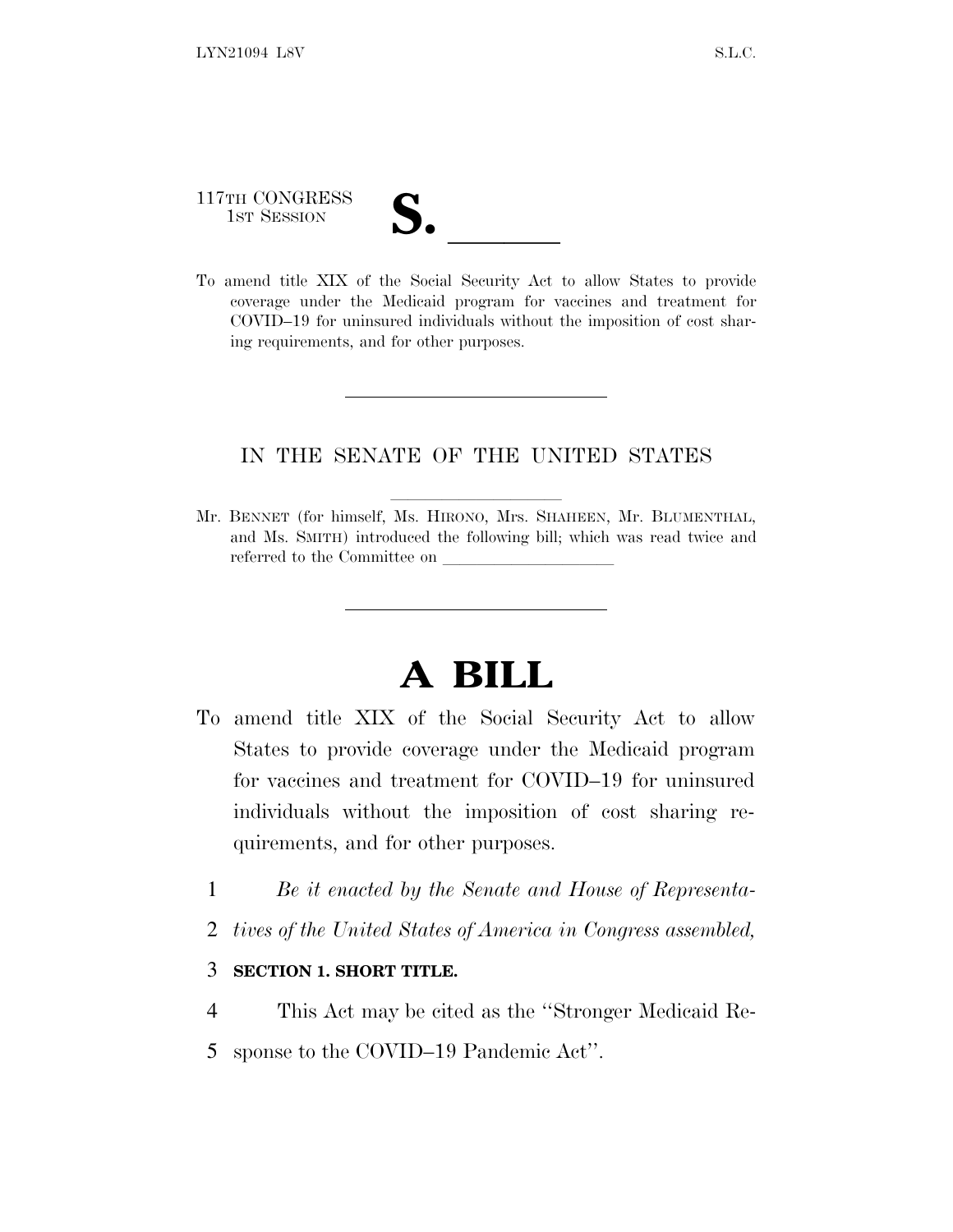117TH CONGRESS

117TH CONGRESS<br>
1ST SESSION<br>
To amend title XIX of the Social Security Act to allow States to provide coverage under the Medicaid program for vaccines and treatment for COVID–19 for uninsured individuals without the imposition of cost sharing requirements, and for other purposes.

## IN THE SENATE OF THE UNITED STATES

Mr. BENNET (for himself, Ms. HIRONO, Mrs. SHAHEEN, Mr. BLUMENTHAL, and Ms. SMITH) introduced the following bill; which was read twice and referred to the Committee on

## **A BILL**

- To amend title XIX of the Social Security Act to allow States to provide coverage under the Medicaid program for vaccines and treatment for COVID–19 for uninsured individuals without the imposition of cost sharing requirements, and for other purposes.
	- 1 *Be it enacted by the Senate and House of Representa-*
	- 2 *tives of the United States of America in Congress assembled,*

## 3 **SECTION 1. SHORT TITLE.**

- 4 This Act may be cited as the ''Stronger Medicaid Re-
- 5 sponse to the COVID–19 Pandemic Act''.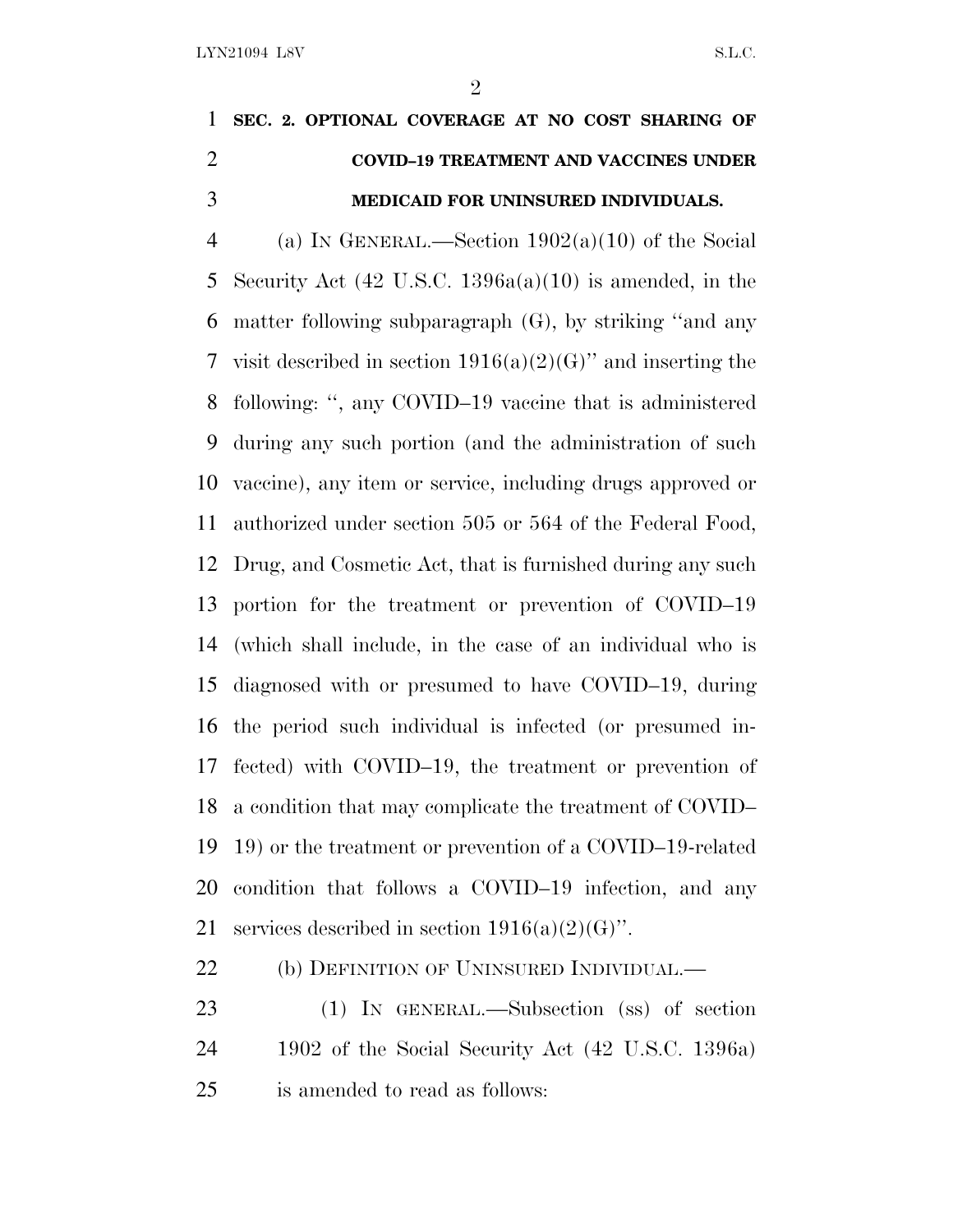## **SEC. 2. OPTIONAL COVERAGE AT NO COST SHARING OF COVID–19 TREATMENT AND VACCINES UNDER MEDICAID FOR UNINSURED INDIVIDUALS.**

4 (a) IN GENERAL.—Section  $1902(a)(10)$  of the Social Security Act (42 U.S.C. 1396a(a)(10) is amended, in the matter following subparagraph (G), by striking ''and any 7 visit described in section  $1916(a)(2)(G)$ " and inserting the following: '', any COVID–19 vaccine that is administered during any such portion (and the administration of such vaccine), any item or service, including drugs approved or authorized under section 505 or 564 of the Federal Food, Drug, and Cosmetic Act, that is furnished during any such portion for the treatment or prevention of COVID–19 (which shall include, in the case of an individual who is diagnosed with or presumed to have COVID–19, during the period such individual is infected (or presumed in- fected) with COVID–19, the treatment or prevention of a condition that may complicate the treatment of COVID– 19) or the treatment or prevention of a COVID–19-related condition that follows a COVID–19 infection, and any 21 services described in section  $1916(a)(2)(G)$ ".

22 (b) DEFINITION OF UNINSURED INDIVIDUAL.—

 (1) IN GENERAL.—Subsection (ss) of section 1902 of the Social Security Act (42 U.S.C. 1396a) is amended to read as follows: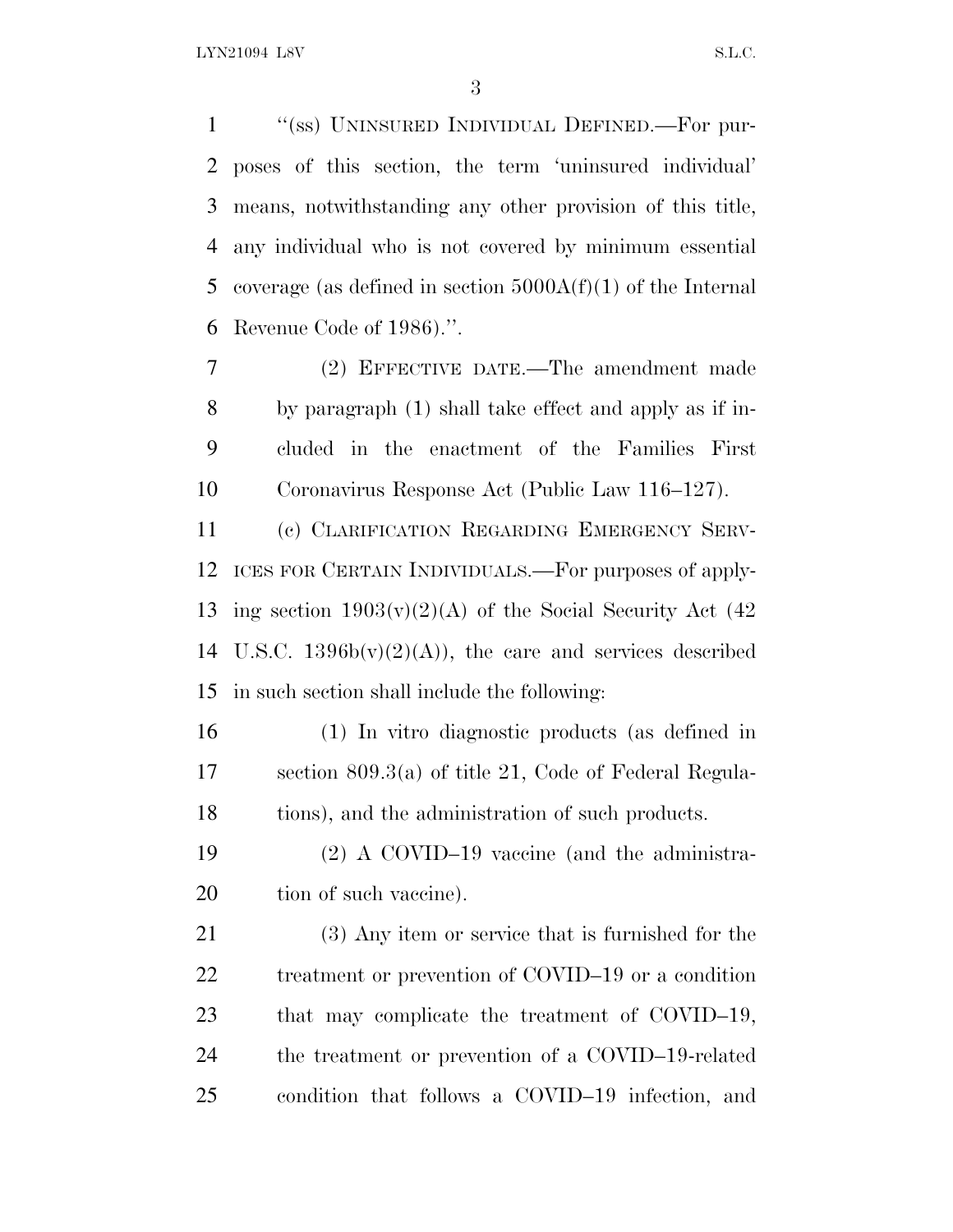''(ss) UNINSURED INDIVIDUAL DEFINED.—For pur- poses of this section, the term 'uninsured individual' means, notwithstanding any other provision of this title, any individual who is not covered by minimum essential 5 coverage (as defined in section  $5000A(f)(1)$  of the Internal Revenue Code of 1986).''.

 (2) EFFECTIVE DATE.—The amendment made by paragraph (1) shall take effect and apply as if in- cluded in the enactment of the Families First Coronavirus Response Act (Public Law 116–127).

 (c) CLARIFICATION REGARDING EMERGENCY SERV- ICES FOR CERTAIN INDIVIDUALS.—For purposes of apply-13 ing section  $1903(v)(2)(A)$  of the Social Security Act (42) 14 U.S.C.  $1396b(v)(2)(A)$ , the care and services described in such section shall include the following:

 (1) In vitro diagnostic products (as defined in section 809.3(a) of title 21, Code of Federal Regula-18 tions), and the administration of such products.

 (2) A COVID–19 vaccine (and the administra-20 tion of such vaccine).

 (3) Any item or service that is furnished for the 22 treatment or prevention of COVID–19 or a condition 23 that may complicate the treatment of COVID–19, the treatment or prevention of a COVID–19-related condition that follows a COVID–19 infection, and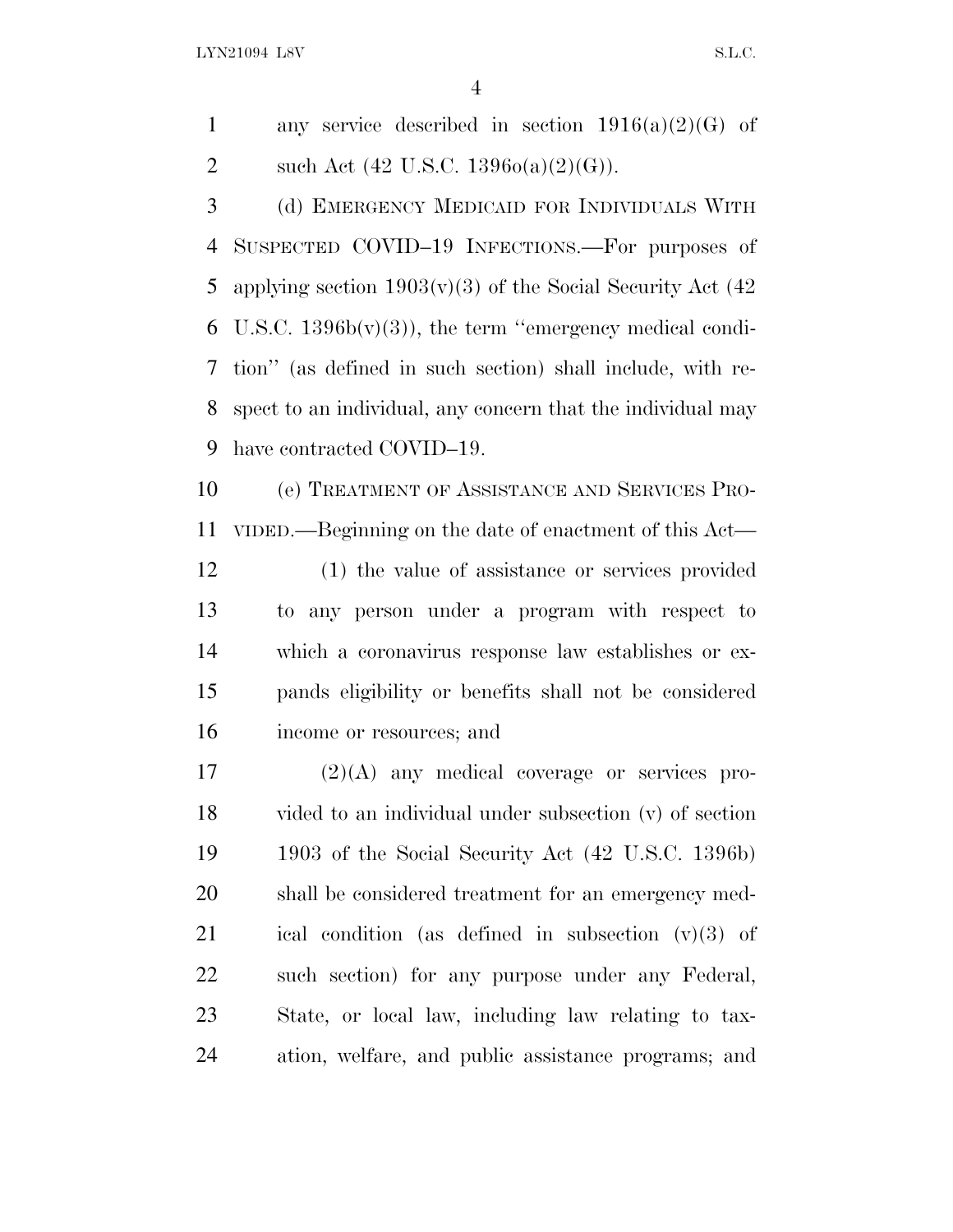LYN21094 L8V S.L.C.

1 any service described in section  $1916(a)(2)(G)$  of 2 such Act  $(42 \text{ U.S.C. } 1396o(a)(2)(G)).$ 

 (d) EMERGENCY MEDICAID FOR INDIVIDUALS WITH SUSPECTED COVID–19 INFECTIONS.—For purposes of 5 applying section  $1903(v)(3)$  of the Social Security Act (42) 6 U.S.C.  $1396b(v)(3)$ , the term "emergency medical condi- tion'' (as defined in such section) shall include, with re- spect to an individual, any concern that the individual may have contracted COVID–19.

 (e) TREATMENT OF ASSISTANCE AND SERVICES PRO-VIDED.—Beginning on the date of enactment of this Act—

 (1) the value of assistance or services provided to any person under a program with respect to which a coronavirus response law establishes or ex- pands eligibility or benefits shall not be considered income or resources; and

 (2)(A) any medical coverage or services pro- vided to an individual under subsection (v) of section 1903 of the Social Security Act (42 U.S.C. 1396b) shall be considered treatment for an emergency med- ical condition (as defined in subsection (v)(3) of such section) for any purpose under any Federal, State, or local law, including law relating to tax-ation, welfare, and public assistance programs; and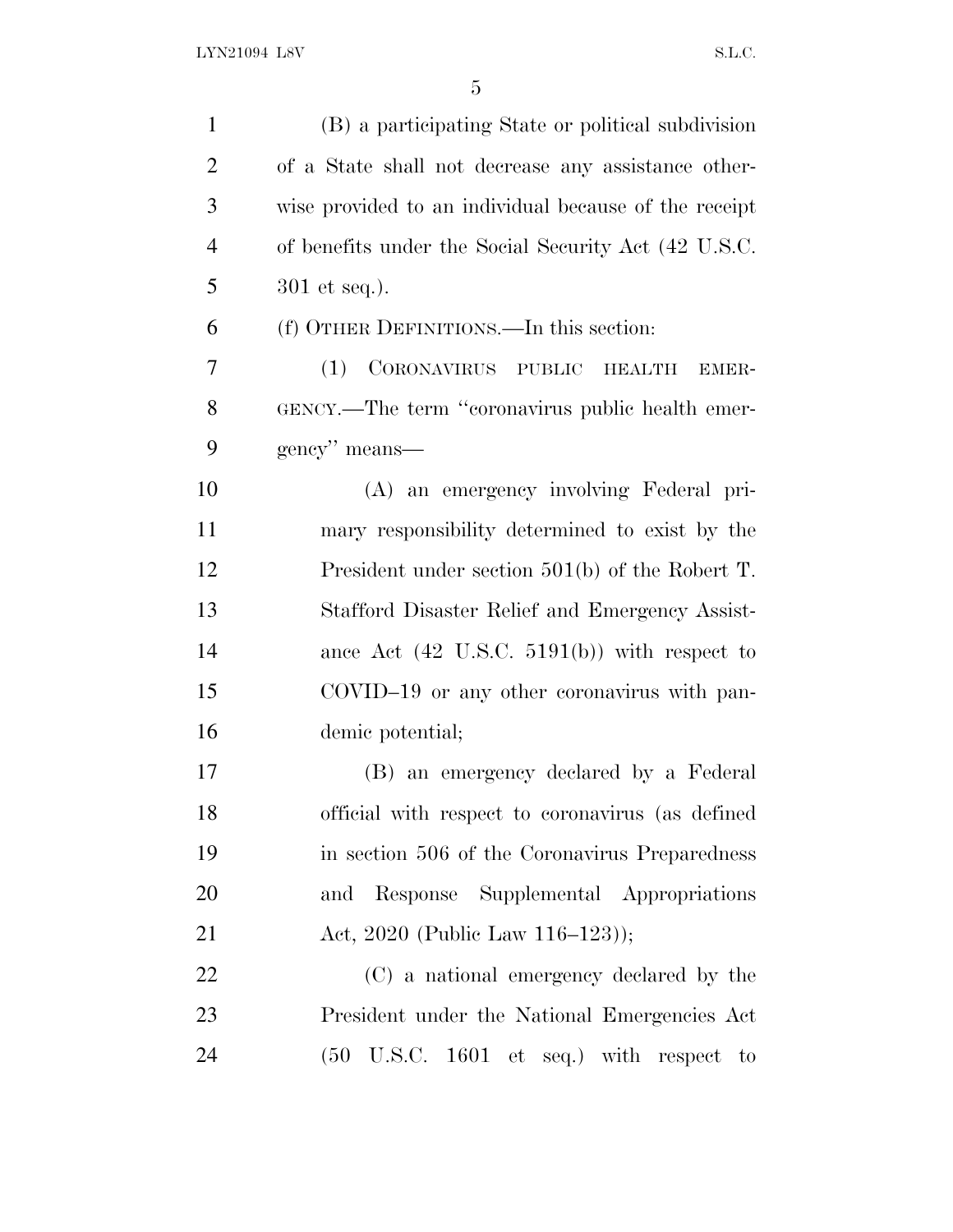| $\mathbf{1}$   | (B) a participating State or political subdivision      |
|----------------|---------------------------------------------------------|
| $\overline{2}$ | of a State shall not decrease any assistance other-     |
| 3              | wise provided to an individual because of the receipt   |
| $\overline{4}$ | of benefits under the Social Security Act (42 U.S.C.    |
| 5              | $301$ et seq.).                                         |
| 6              | (f) OTHER DEFINITIONS.—In this section:                 |
| 7              | CORONAVIRUS PUBLIC HEALTH<br>(1)<br>EMER-               |
| 8              | GENCY.—The term "coronavirus public health emer-        |
| 9              | gency" means—                                           |
| 10             | (A) an emergency involving Federal pri-                 |
| 11             | mary responsibility determined to exist by the          |
| 12             | President under section $501(b)$ of the Robert T.       |
| 13             | Stafford Disaster Relief and Emergency Assist-          |
| 14             | ance Act $(42 \text{ U.S.C. } 5191(b))$ with respect to |
| 15             | COVID-19 or any other coronavirus with pan-             |
| 16             | demic potential;                                        |
| 17             | (B) an emergency declared by a Federal                  |
| 18             | official with respect to coronavirus (as defined        |
| 19             | in section 506 of the Coronavirus Preparedness          |
| 20             | and Response Supplemental Appropriations                |
| 21             | Act, 2020 (Public Law 116-123));                        |
| 22             | (C) a national emergency declared by the                |
| 23             | President under the National Emergencies Act            |
| 24             |                                                         |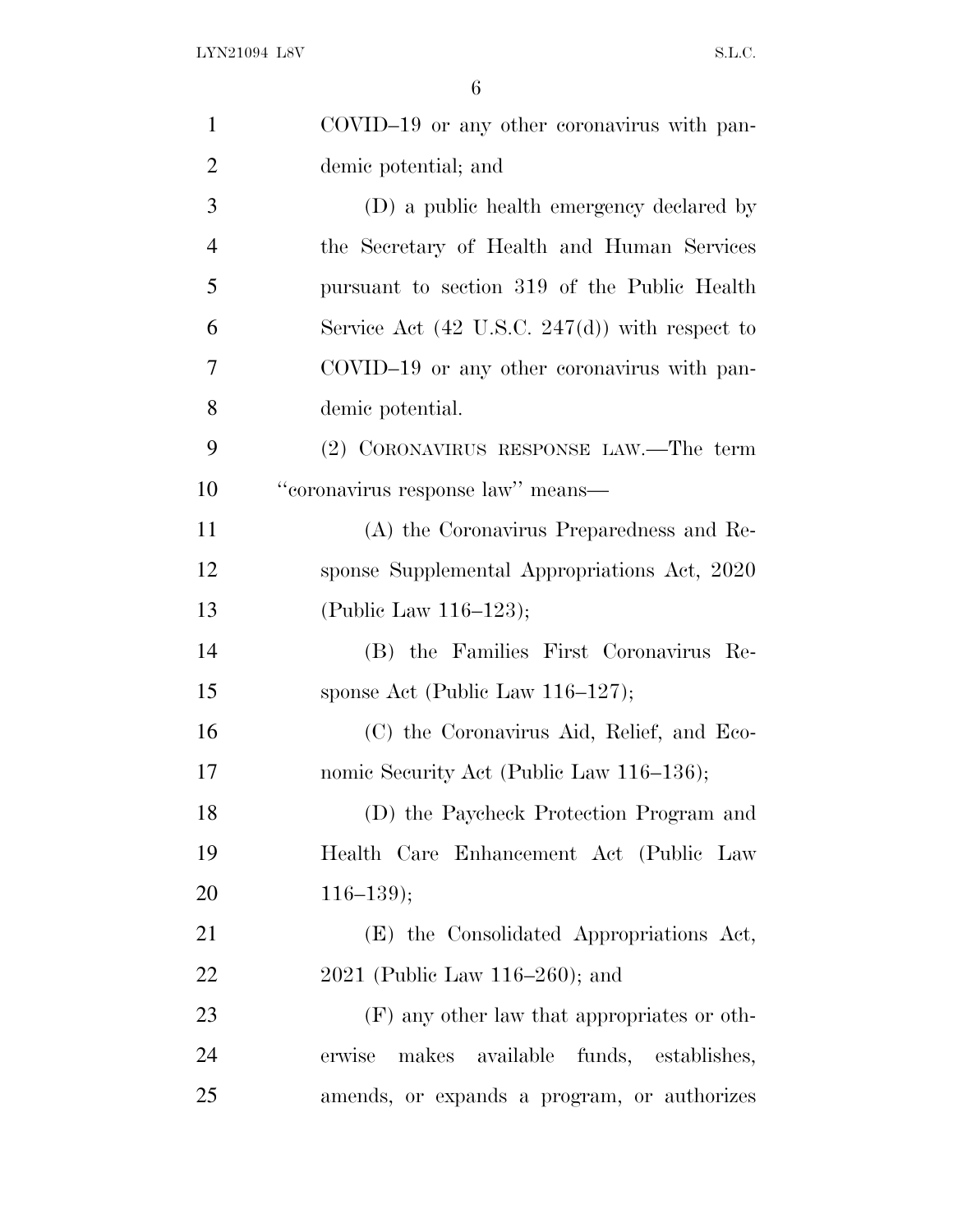| $\mathbf{1}$   | COVID-19 or any other coronavirus with pan-               |
|----------------|-----------------------------------------------------------|
| $\overline{2}$ | demic potential; and                                      |
| 3              | (D) a public health emergency declared by                 |
| $\overline{4}$ | the Secretary of Health and Human Services                |
| 5              | pursuant to section 319 of the Public Health              |
| 6              | Service Act $(42 \text{ U.S.C. } 247(d))$ with respect to |
| 7              | COVID-19 or any other coronavirus with pan-               |
| 8              | demic potential.                                          |
| 9              | (2) CORONAVIRUS RESPONSE LAW.—The term                    |
| 10             | "coronavirus response law" means—                         |
| 11             | (A) the Coronavirus Preparedness and Re-                  |
| 12             | sponse Supplemental Appropriations Act, 2020              |
| 13             | (Public Law 116–123);                                     |
| 14             | (B) the Families First Coronavirus Re-                    |
| 15             | sponse Act (Public Law $116-127$ );                       |
| 16             | (C) the Coronavirus Aid, Relief, and Eco-                 |
| 17             | nomic Security Act (Public Law 116–136);                  |
| 18             | (D) the Paycheck Protection Program and                   |
| 19             | Health Care Enhancement Act (Public Law                   |
| 20             | $116 - 139$ ;                                             |
| 21             | (E) the Consolidated Appropriations Act,                  |
| 22             | $2021$ (Public Law 116–260); and                          |
| 23             | (F) any other law that appropriates or oth-               |
| 24             | erwise<br>makes available<br>funds, establishes,          |
| 25             | amends, or expands a program, or authorizes               |